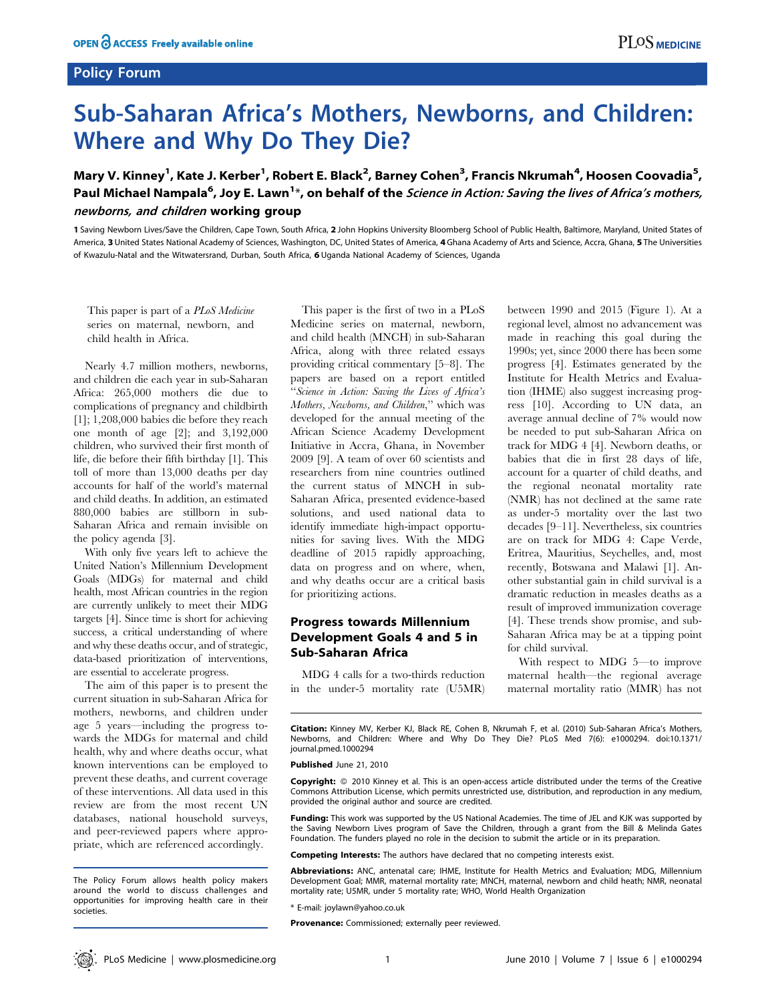# Policy Forum

# Sub-Saharan Africa's Mothers, Newborns, and Children: Where and Why Do They Die?

Mary V. Kinney<sup>1</sup>, Kate J. Kerber<sup>1</sup>, Robert E. Black<sup>2</sup>, Barney Cohen<sup>3</sup>, Francis Nkrumah<sup>4</sup>, Hoosen Coovadia<sup>5</sup>, Paul Michael Nampala<sup>6</sup>, Joy E. Lawn<sup>1</sup>\*, on behalf of the *Science in Action: Saving the lives of Africa's mothers,* newborns, and children working group

1 Saving Newborn Lives/Save the Children, Cape Town, South Africa, 2 John Hopkins University Bloomberg School of Public Health, Baltimore, Maryland, United States of America, 3 United States National Academy of Sciences, Washington, DC, United States of America, 4 Ghana Academy of Arts and Science, Accra, Ghana, 5 The Universities of Kwazulu-Natal and the Witwatersrand, Durban, South Africa, 6 Uganda National Academy of Sciences, Uganda

This paper is part of a PLoS Medicine series on maternal, newborn, and child health in Africa.

Nearly 4.7 million mothers, newborns, and children die each year in sub-Saharan Africa: 265,000 mothers die due to complications of pregnancy and childbirth [1]; 1,208,000 babies die before they reach one month of age [2]; and 3,192,000 children, who survived their first month of life, die before their fifth birthday [1]. This toll of more than 13,000 deaths per day accounts for half of the world's maternal and child deaths. In addition, an estimated 880,000 babies are stillborn in sub-Saharan Africa and remain invisible on the policy agenda [3].

With only five years left to achieve the United Nation's Millennium Development Goals (MDGs) for maternal and child health, most African countries in the region are currently unlikely to meet their MDG targets [4]. Since time is short for achieving success, a critical understanding of where and why these deaths occur, and of strategic, data-based prioritization of interventions, are essential to accelerate progress.

The aim of this paper is to present the current situation in sub-Saharan Africa for mothers, newborns, and children under age 5 years—including the progress towards the MDGs for maternal and child health, why and where deaths occur, what known interventions can be employed to prevent these deaths, and current coverage of these interventions. All data used in this review are from the most recent UN databases, national household surveys, and peer-reviewed papers where appropriate, which are referenced accordingly.

This paper is the first of two in a PLoS Medicine series on maternal, newborn, and child health (MNCH) in sub-Saharan Africa, along with three related essays providing critical commentary [5–8]. The papers are based on a report entitled ''Science in Action: Saving the Lives of Africa's Mothers, Newborns, and Children,'' which was developed for the annual meeting of the African Science Academy Development Initiative in Accra, Ghana, in November 2009 [9]. A team of over 60 scientists and researchers from nine countries outlined the current status of MNCH in sub-Saharan Africa, presented evidence-based solutions, and used national data to identify immediate high-impact opportunities for saving lives. With the MDG deadline of 2015 rapidly approaching, data on progress and on where, when, and why deaths occur are a critical basis for prioritizing actions.

# Progress towards Millennium Development Goals 4 and 5 in Sub-Saharan Africa

MDG 4 calls for a two-thirds reduction in the under-5 mortality rate (U5MR)

between 1990 and 2015 (Figure 1). At a regional level, almost no advancement was made in reaching this goal during the 1990s; yet, since 2000 there has been some progress [4]. Estimates generated by the Institute for Health Metrics and Evaluation (IHME) also suggest increasing progress [10]. According to UN data, an average annual decline of 7% would now be needed to put sub-Saharan Africa on track for MDG 4 [4]. Newborn deaths, or babies that die in first 28 days of life, account for a quarter of child deaths, and the regional neonatal mortality rate (NMR) has not declined at the same rate as under-5 mortality over the last two decades [9–11]. Nevertheless, six countries are on track for MDG 4: Cape Verde, Eritrea, Mauritius, Seychelles, and, most recently, Botswana and Malawi [1]. Another substantial gain in child survival is a dramatic reduction in measles deaths as a result of improved immunization coverage [4]. These trends show promise, and sub-Saharan Africa may be at a tipping point for child survival.

With respect to MDG 5—to improve maternal health—the regional average maternal mortality ratio (MMR) has not

Citation: Kinney MV, Kerber KJ, Black RE, Cohen B, Nkrumah F, et al. (2010) Sub-Saharan Africa's Mothers, Newborns, and Children: Where and Why Do They Die? PLoS Med 7(6): e1000294. doi:10.1371/ journal.pmed.1000294

#### Published June 21, 2010

Copyright: © 2010 Kinney et al. This is an open-access article distributed under the terms of the Creative Commons Attribution License, which permits unrestricted use, distribution, and reproduction in any medium, provided the original author and source are credited.

Funding: This work was supported by the US National Academies. The time of JEL and KJK was supported by the Saving Newborn Lives program of Save the Children, through a grant from the Bill & Melinda Gates Foundation. The funders played no role in the decision to submit the article or in its preparation.

Competing Interests: The authors have declared that no competing interests exist.

Abbreviations: ANC, antenatal care; IHME, Institute for Health Metrics and Evaluation; MDG, Millennium Development Goal; MMR, maternal mortality rate; MNCH, maternal, newborn and child heath; NMR, neonatal mortality rate; U5MR, under 5 mortality rate; WHO, World Health Organization

\* E-mail: joylawn@yahoo.co.uk

Provenance: Commissioned; externally peer reviewed.

The Policy Forum allows health policy makers around the world to discuss challenges and opportunities for improving health care in their societies.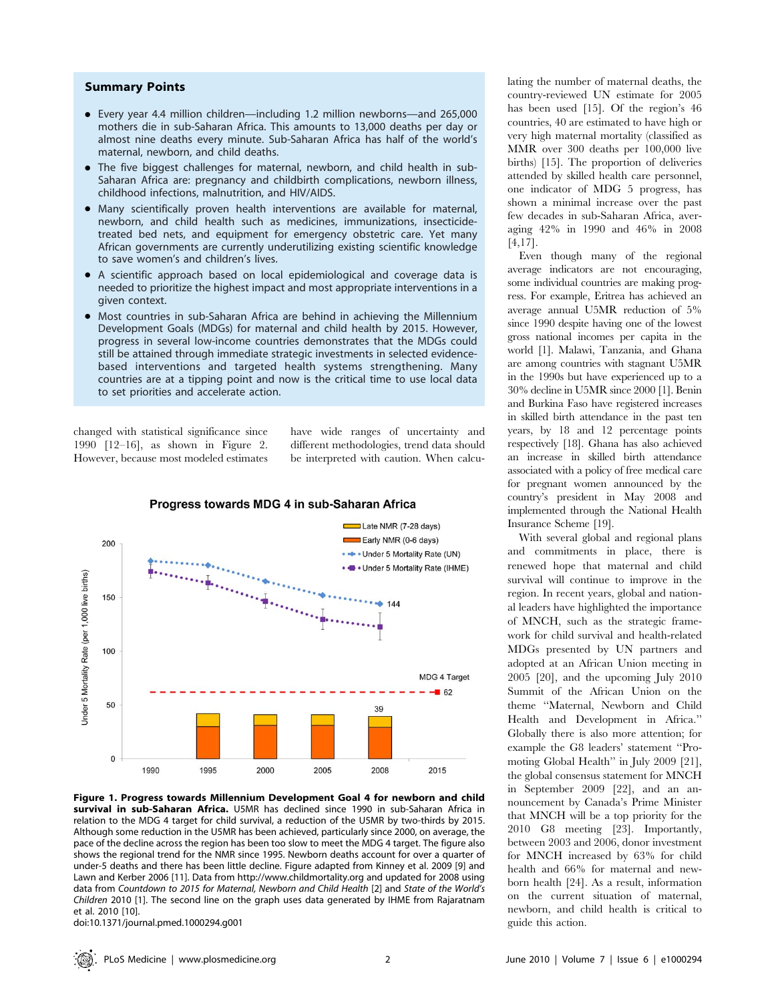### Summary Points

- N Every year 4.4 million children—including 1.2 million newborns—and 265,000 mothers die in sub-Saharan Africa. This amounts to 13,000 deaths per day or almost nine deaths every minute. Sub-Saharan Africa has half of the world's maternal, newborn, and child deaths.
- The five biggest challenges for maternal, newborn, and child health in sub-Saharan Africa are: pregnancy and childbirth complications, newborn illness, childhood infections, malnutrition, and HIV/AIDS.
- Many scientifically proven health interventions are available for maternal, newborn, and child health such as medicines, immunizations, insecticidetreated bed nets, and equipment for emergency obstetric care. Yet many African governments are currently underutilizing existing scientific knowledge to save women's and children's lives.
- N A scientific approach based on local epidemiological and coverage data is needed to prioritize the highest impact and most appropriate interventions in a given context.
- Most countries in sub-Saharan Africa are behind in achieving the Millennium Development Goals (MDGs) for maternal and child health by 2015. However, progress in several low-income countries demonstrates that the MDGs could still be attained through immediate strategic investments in selected evidencebased interventions and targeted health systems strengthening. Many countries are at a tipping point and now is the critical time to use local data to set priorities and accelerate action.

changed with statistical significance since 1990 [12–16], as shown in Figure 2. However, because most modeled estimates have wide ranges of uncertainty and different methodologies, trend data should be interpreted with caution. When calcu-





Figure 1. Progress towards Millennium Development Goal 4 for newborn and child survival in sub-Saharan Africa. U5MR has declined since 1990 in sub-Saharan Africa in relation to the MDG 4 target for child survival, a reduction of the U5MR by two-thirds by 2015. Although some reduction in the U5MR has been achieved, particularly since 2000, on average, the pace of the decline across the region has been too slow to meet the MDG 4 target. The figure also shows the regional trend for the NMR since 1995. Newborn deaths account for over a quarter of under-5 deaths and there has been little decline. Figure adapted from Kinney et al. 2009 [9] and Lawn and Kerber 2006 [11]. Data from http://www.childmortality.org and updated for 2008 using data from Countdown to 2015 for Maternal, Newborn and Child Health [2] and State of the World's Children 2010 [1]. The second line on the graph uses data generated by IHME from Rajaratnam et al. 2010 [10].

doi:10.1371/journal.pmed.1000294.g001

lating the number of maternal deaths, the country-reviewed UN estimate for 2005 has been used [15]. Of the region's 46 countries, 40 are estimated to have high or very high maternal mortality (classified as MMR over 300 deaths per 100,000 live births) [15]. The proportion of deliveries attended by skilled health care personnel, one indicator of MDG 5 progress, has shown a minimal increase over the past few decades in sub-Saharan Africa, averaging 42% in 1990 and 46% in 2008 [4,17].

Even though many of the regional average indicators are not encouraging, some individual countries are making progress. For example, Eritrea has achieved an average annual U5MR reduction of 5% since 1990 despite having one of the lowest gross national incomes per capita in the world [1]. Malawi, Tanzania, and Ghana are among countries with stagnant U5MR in the 1990s but have experienced up to a 30% decline in U5MR since 2000 [1]. Benin and Burkina Faso have registered increases in skilled birth attendance in the past ten years, by 18 and 12 percentage points respectively [18]. Ghana has also achieved an increase in skilled birth attendance associated with a policy of free medical care for pregnant women announced by the country's president in May 2008 and implemented through the National Health Insurance Scheme [19].

With several global and regional plans and commitments in place, there is renewed hope that maternal and child survival will continue to improve in the region. In recent years, global and national leaders have highlighted the importance of MNCH, such as the strategic framework for child survival and health-related MDGs presented by UN partners and adopted at an African Union meeting in 2005 [20], and the upcoming July 2010 Summit of the African Union on the theme ''Maternal, Newborn and Child Health and Development in Africa.'' Globally there is also more attention; for example the G8 leaders' statement ''Promoting Global Health'' in July 2009 [21], the global consensus statement for MNCH in September 2009 [22], and an announcement by Canada's Prime Minister that MNCH will be a top priority for the 2010 G8 meeting [23]. Importantly, between 2003 and 2006, donor investment for MNCH increased by 63% for child health and 66% for maternal and newborn health [24]. As a result, information on the current situation of maternal, newborn, and child health is critical to guide this action.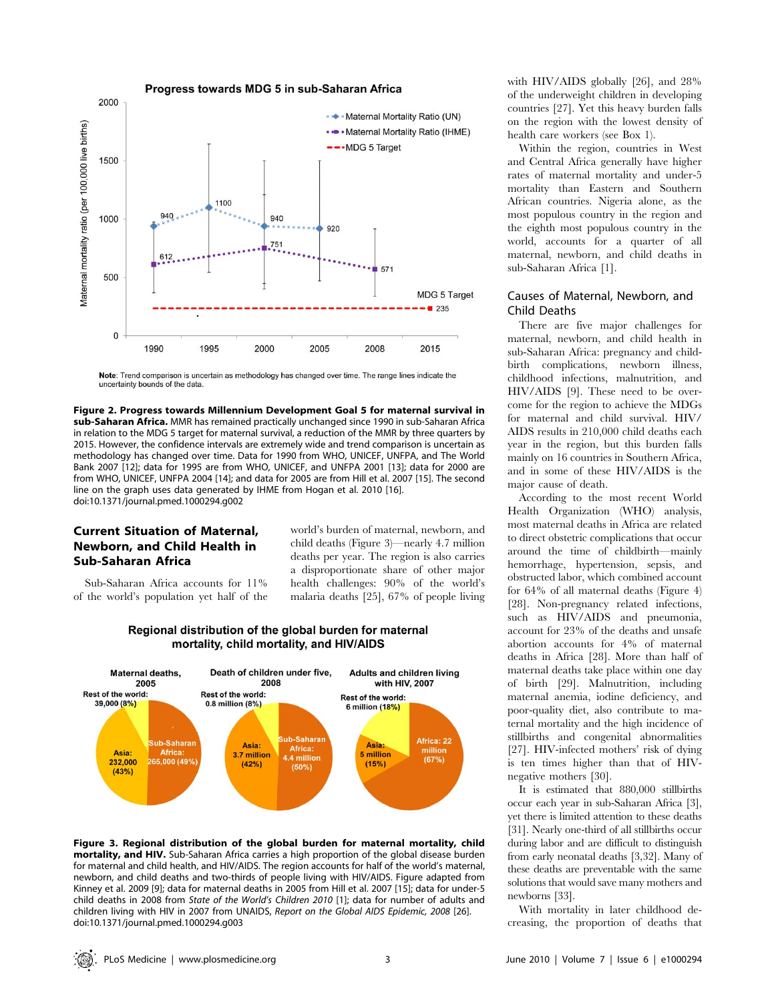



Note: Trend comparison is uncertain as methodology has changed over time. The range lines indicate the uncertainty bounds of the data

Figure 2. Progress towards Millennium Development Goal 5 for maternal survival in sub-Saharan Africa. MMR has remained practically unchanged since 1990 in sub-Saharan Africa in relation to the MDG 5 target for maternal survival, a reduction of the MMR by three quarters by 2015. However, the confidence intervals are extremely wide and trend comparison is uncertain as methodology has changed over time. Data for 1990 from WHO, UNICEF, UNFPA, and The World Bank 2007 [12]; data for 1995 are from WHO, UNICEF, and UNFPA 2001 [13]; data for 2000 are from WHO, UNICEF, UNFPA 2004 [14]; and data for 2005 are from Hill et al. 2007 [15]. The second line on the graph uses data generated by IHME from Hogan et al. 2010 [16]. doi:10.1371/journal.pmed.1000294.g002

# Current Situation of Maternal, Newborn, and Child Health in Sub-Saharan Africa

Sub-Saharan Africa accounts for 11% of the world's population yet half of the world's burden of maternal, newborn, and child deaths (Figure 3)—nearly 4.7 million deaths per year. The region is also carries a disproportionate share of other major health challenges: 90% of the world's malaria deaths [25], 67% of people living



Regional distribution of the global burden for maternal mortality, child mortality, and HIV/AIDS

Figure 3. Regional distribution of the global burden for maternal mortality, child mortality, and HIV. Sub-Saharan Africa carries a high proportion of the global disease burden for maternal and child health, and HIV/AIDS. The region accounts for half of the world's maternal, newborn, and child deaths and two-thirds of people living with HIV/AIDS. Figure adapted from Kinney et al. 2009 [9]; data for maternal deaths in 2005 from Hill et al. 2007 [15]; data for under-5 child deaths in 2008 from State of the World's Children 2010 [1]; data for number of adults and children living with HIV in 2007 from UNAIDS, Report on the Global AIDS Epidemic, 2008 [26]. doi:10.1371/journal.pmed.1000294.g003

with HIV/AIDS globally [26], and 28% of the underweight children in developing countries [27]. Yet this heavy burden falls on the region with the lowest density of health care workers (see Box 1).

Within the region, countries in West and Central Africa generally have higher rates of maternal mortality and under-5 mortality than Eastern and Southern African countries. Nigeria alone, as the most populous country in the region and the eighth most populous country in the world, accounts for a quarter of all maternal, newborn, and child deaths in sub-Saharan Africa [1].

### Causes of Maternal, Newborn, and Child Deaths

There are five major challenges for maternal, newborn, and child health in sub-Saharan Africa: pregnancy and childbirth complications, newborn illness, childhood infections, malnutrition, and HIV/AIDS [9]. These need to be overcome for the region to achieve the MDGs for maternal and child survival. HIV/ AIDS results in 210,000 child deaths each year in the region, but this burden falls mainly on 16 countries in Southern Africa, and in some of these HIV/AIDS is the major cause of death.

According to the most recent World Health Organization (WHO) analysis, most maternal deaths in Africa are related to direct obstetric complications that occur around the time of childbirth—mainly hemorrhage, hypertension, sepsis, and obstructed labor, which combined account for 64% of all maternal deaths (Figure 4) [28]. Non-pregnancy related infections, such as HIV/AIDS and pneumonia, account for 23% of the deaths and unsafe abortion accounts for 4% of maternal deaths in Africa [28]. More than half of maternal deaths take place within one day of birth [29]. Malnutrition, including maternal anemia, iodine deficiency, and poor-quality diet, also contribute to maternal mortality and the high incidence of stillbirths and congenital abnormalities [27]. HIV-infected mothers' risk of dying is ten times higher than that of HIVnegative mothers [30].

It is estimated that 880,000 stillbirths occur each year in sub-Saharan Africa [3], yet there is limited attention to these deaths [31]. Nearly one-third of all stillbirths occur during labor and are difficult to distinguish from early neonatal deaths [3,32]. Many of these deaths are preventable with the same solutions that would save many mothers and newborns [33].

With mortality in later childhood decreasing, the proportion of deaths that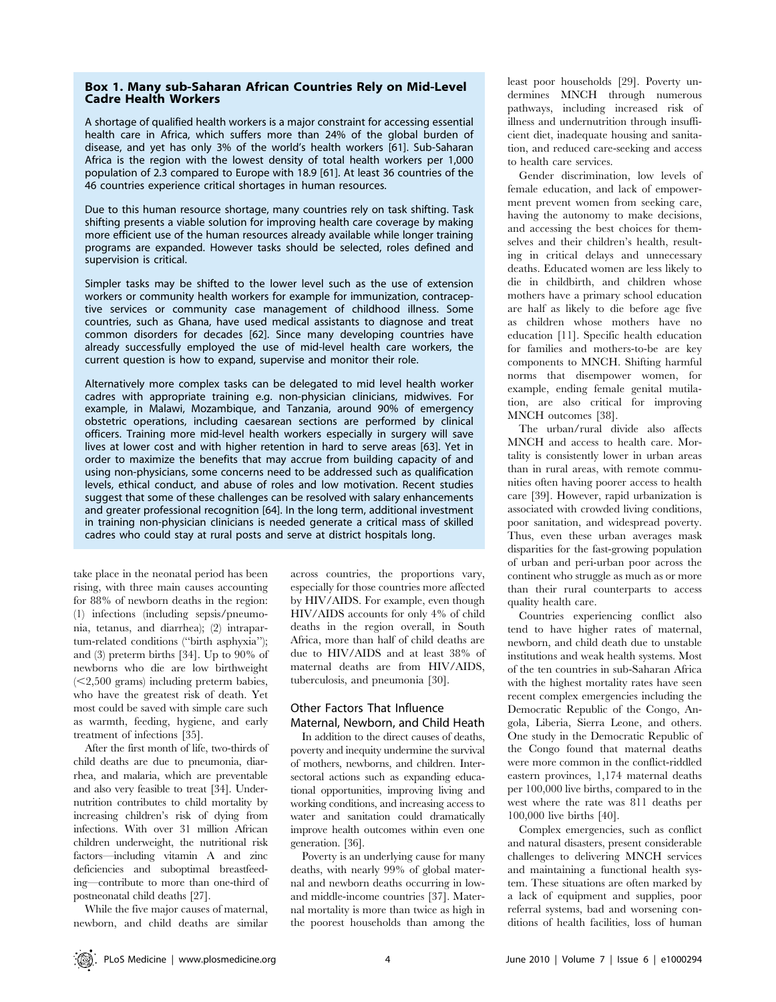### Box 1. Many sub-Saharan African Countries Rely on Mid-Level Cadre Health Workers

A shortage of qualified health workers is a major constraint for accessing essential health care in Africa, which suffers more than 24% of the global burden of disease, and yet has only 3% of the world's health workers [61]. Sub-Saharan Africa is the region with the lowest density of total health workers per 1,000 population of 2.3 compared to Europe with 18.9 [61]. At least 36 countries of the 46 countries experience critical shortages in human resources.

Due to this human resource shortage, many countries rely on task shifting. Task shifting presents a viable solution for improving health care coverage by making more efficient use of the human resources already available while longer training programs are expanded. However tasks should be selected, roles defined and supervision is critical.

Simpler tasks may be shifted to the lower level such as the use of extension workers or community health workers for example for immunization, contraceptive services or community case management of childhood illness. Some countries, such as Ghana, have used medical assistants to diagnose and treat common disorders for decades [62]. Since many developing countries have already successfully employed the use of mid-level health care workers, the current question is how to expand, supervise and monitor their role.

Alternatively more complex tasks can be delegated to mid level health worker cadres with appropriate training e.g. non-physician clinicians, midwives. For example, in Malawi, Mozambique, and Tanzania, around 90% of emergency obstetric operations, including caesarean sections are performed by clinical officers. Training more mid-level health workers especially in surgery will save lives at lower cost and with higher retention in hard to serve areas [63]. Yet in order to maximize the benefits that may accrue from building capacity of and using non-physicians, some concerns need to be addressed such as qualification levels, ethical conduct, and abuse of roles and low motivation. Recent studies suggest that some of these challenges can be resolved with salary enhancements and greater professional recognition [64]. In the long term, additional investment in training non-physician clinicians is needed generate a critical mass of skilled cadres who could stay at rural posts and serve at district hospitals long.

take place in the neonatal period has been rising, with three main causes accounting for 88% of newborn deaths in the region: (1) infections (including sepsis/pneumonia, tetanus, and diarrhea); (2) intrapartum-related conditions (''birth asphyxia''); and (3) preterm births [34]. Up to 90% of newborns who die are low birthweight  $\approx 2,500$  grams) including preterm babies, who have the greatest risk of death. Yet most could be saved with simple care such as warmth, feeding, hygiene, and early treatment of infections [35].

After the first month of life, two-thirds of child deaths are due to pneumonia, diarrhea, and malaria, which are preventable and also very feasible to treat [34]. Undernutrition contributes to child mortality by increasing children's risk of dying from infections. With over 31 million African children underweight, the nutritional risk factors—including vitamin A and zinc deficiencies and suboptimal breastfeeding—contribute to more than one-third of postneonatal child deaths [27].

While the five major causes of maternal, newborn, and child deaths are similar across countries, the proportions vary, especially for those countries more affected by HIV/AIDS. For example, even though HIV/AIDS accounts for only 4% of child deaths in the region overall, in South Africa, more than half of child deaths are due to HIV/AIDS and at least 38% of maternal deaths are from HIV/AIDS, tuberculosis, and pneumonia [30].

### Other Factors That Influence Maternal, Newborn, and Child Heath

In addition to the direct causes of deaths, poverty and inequity undermine the survival of mothers, newborns, and children. Intersectoral actions such as expanding educational opportunities, improving living and working conditions, and increasing access to water and sanitation could dramatically improve health outcomes within even one generation. [36].

Poverty is an underlying cause for many deaths, with nearly 99% of global maternal and newborn deaths occurring in lowand middle-income countries [37]. Maternal mortality is more than twice as high in the poorest households than among the

least poor households [29]. Poverty undermines MNCH through numerous pathways, including increased risk of illness and undernutrition through insufficient diet, inadequate housing and sanitation, and reduced care-seeking and access to health care services.

Gender discrimination, low levels of female education, and lack of empowerment prevent women from seeking care, having the autonomy to make decisions, and accessing the best choices for themselves and their children's health, resulting in critical delays and unnecessary deaths. Educated women are less likely to die in childbirth, and children whose mothers have a primary school education are half as likely to die before age five as children whose mothers have no education [11]. Specific health education for families and mothers-to-be are key components to MNCH. Shifting harmful norms that disempower women, for example, ending female genital mutilation, are also critical for improving MNCH outcomes [38].

The urban/rural divide also affects MNCH and access to health care. Mortality is consistently lower in urban areas than in rural areas, with remote communities often having poorer access to health care [39]. However, rapid urbanization is associated with crowded living conditions, poor sanitation, and widespread poverty. Thus, even these urban averages mask disparities for the fast-growing population of urban and peri-urban poor across the continent who struggle as much as or more than their rural counterparts to access quality health care.

Countries experiencing conflict also tend to have higher rates of maternal, newborn, and child death due to unstable institutions and weak health systems. Most of the ten countries in sub-Saharan Africa with the highest mortality rates have seen recent complex emergencies including the Democratic Republic of the Congo, Angola, Liberia, Sierra Leone, and others. One study in the Democratic Republic of the Congo found that maternal deaths were more common in the conflict-riddled eastern provinces, 1,174 maternal deaths per 100,000 live births, compared to in the west where the rate was 811 deaths per 100,000 live births [40].

Complex emergencies, such as conflict and natural disasters, present considerable challenges to delivering MNCH services and maintaining a functional health system. These situations are often marked by a lack of equipment and supplies, poor referral systems, bad and worsening conditions of health facilities, loss of human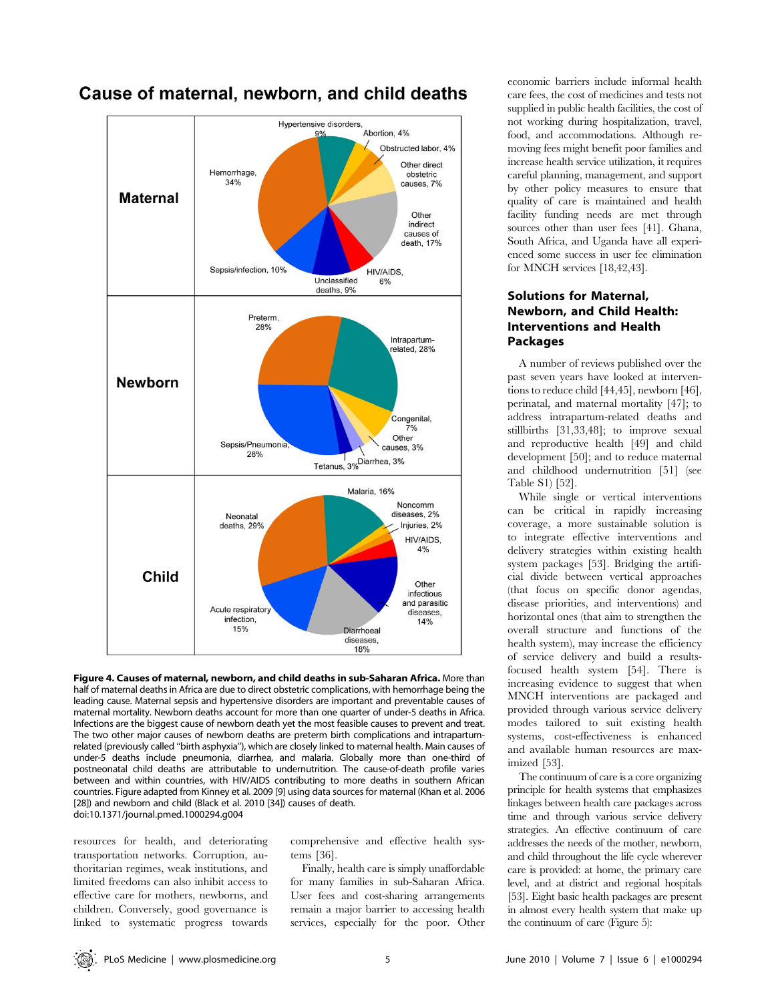

# Cause of maternal, newborn, and child deaths

Figure 4. Causes of maternal, newborn, and child deaths in sub-Saharan Africa. More than half of maternal deaths in Africa are due to direct obstetric complications, with hemorrhage being the leading cause. Maternal sepsis and hypertensive disorders are important and preventable causes of maternal mortality. Newborn deaths account for more than one quarter of under-5 deaths in Africa. Infections are the biggest cause of newborn death yet the most feasible causes to prevent and treat. The two other major causes of newborn deaths are preterm birth complications and intrapartumrelated (previously called ''birth asphyxia''), which are closely linked to maternal health. Main causes of under-5 deaths include pneumonia, diarrhea, and malaria. Globally more than one-third of postneonatal child deaths are attributable to undernutrition. The cause-of-death profile varies between and within countries, with HIV/AIDS contributing to more deaths in southern African countries. Figure adapted from Kinney et al. 2009 [9] using data sources for maternal (Khan et al. 2006 [28]) and newborn and child (Black et al. 2010 [34]) causes of death. doi:10.1371/journal.pmed.1000294.g004

resources for health, and deteriorating transportation networks. Corruption, authoritarian regimes, weak institutions, and limited freedoms can also inhibit access to effective care for mothers, newborns, and children. Conversely, good governance is linked to systematic progress towards comprehensive and effective health systems [36].

Finally, health care is simply unaffordable for many families in sub-Saharan Africa. User fees and cost-sharing arrangements remain a major barrier to accessing health services, especially for the poor. Other economic barriers include informal health care fees, the cost of medicines and tests not supplied in public health facilities, the cost of not working during hospitalization, travel, food, and accommodations. Although removing fees might benefit poor families and increase health service utilization, it requires careful planning, management, and support by other policy measures to ensure that quality of care is maintained and health facility funding needs are met through sources other than user fees [41]. Ghana, South Africa, and Uganda have all experienced some success in user fee elimination for MNCH services [18,42,43].

# Solutions for Maternal, Newborn, and Child Health: Interventions and Health Packages

A number of reviews published over the past seven years have looked at interventions to reduce child [44,45], newborn [46], perinatal, and maternal mortality [47]; to address intrapartum-related deaths and stillbirths [31,33,48]; to improve sexual and reproductive health [49] and child development [50]; and to reduce maternal and childhood undernutrition [51] (see Table S1) [52].

While single or vertical interventions can be critical in rapidly increasing coverage, a more sustainable solution is to integrate effective interventions and delivery strategies within existing health system packages [53]. Bridging the artificial divide between vertical approaches (that focus on specific donor agendas, disease priorities, and interventions) and horizontal ones (that aim to strengthen the overall structure and functions of the health system), may increase the efficiency of service delivery and build a resultsfocused health system [54]. There is increasing evidence to suggest that when MNCH interventions are packaged and provided through various service delivery modes tailored to suit existing health systems, cost-effectiveness is enhanced and available human resources are maximized [53].

The continuum of care is a core organizing principle for health systems that emphasizes linkages between health care packages across time and through various service delivery strategies. An effective continuum of care addresses the needs of the mother, newborn, and child throughout the life cycle wherever care is provided: at home, the primary care level, and at district and regional hospitals [53]. Eight basic health packages are present in almost every health system that make up the continuum of care (Figure 5):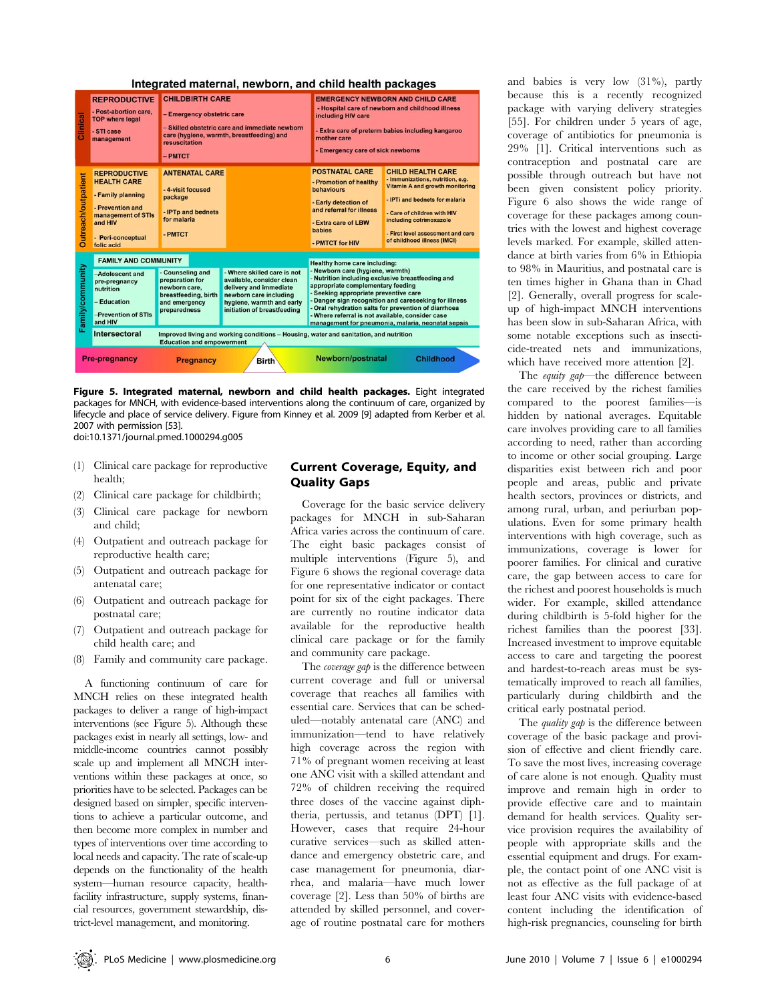Integrated maternal, newborn, and child health packages

| Clinical                   | <b>REPRODUCTIVE</b><br>- Post-abortion care.<br><b>TOP where legal</b><br>- STI case<br>management                                                                                                     | <b>CHILDBIRTH CARE</b><br>- Emergency obstetric care<br>- Skilled obstetric care and immediate newborn<br>care (hygiene, warmth, breastfeeding) and<br>resuscitation<br>$-$ PMTCT                                                                                                         |  | <b>EMERGENCY NEWBORN AND CHILD CARE</b><br>- Hospital care of newborn and childhood illness<br>including HIV care<br>- Extra care of preterm babies including kangaroo<br>mother care<br>- Emergency care of sick newborns                                                                                                                                                                                                            |                                                                                                                                                                                                                                                                        |
|----------------------------|--------------------------------------------------------------------------------------------------------------------------------------------------------------------------------------------------------|-------------------------------------------------------------------------------------------------------------------------------------------------------------------------------------------------------------------------------------------------------------------------------------------|--|---------------------------------------------------------------------------------------------------------------------------------------------------------------------------------------------------------------------------------------------------------------------------------------------------------------------------------------------------------------------------------------------------------------------------------------|------------------------------------------------------------------------------------------------------------------------------------------------------------------------------------------------------------------------------------------------------------------------|
| <b>Outreach/outpatient</b> | <b>REPRODUCTIVE</b><br><b>HEALTH CARE</b><br>- Family planning<br>- Prevention and<br>management of STIs<br>and HIV<br>- Peri-conceptual<br>folic acid                                                 | <b>ANTENATAL CARE</b><br>-4-visit focused<br>package<br>- IPTp and bednets<br>for malaria<br>- PMTCT                                                                                                                                                                                      |  | <b>POSTNATAL CARE</b><br>- Promotion of healthy<br>behaviours<br>- Early detection of<br>and referral for illness<br>- Extra care of LBW<br><b>babies</b><br>- PMTCT for HIV                                                                                                                                                                                                                                                          | <b>CHILD HEALTH CARE</b><br>- Immunizations, nutrition, e.g.<br><b>Vitamin A and growth monitoring</b><br>- IPTi and bednets for malaria<br>- Care of children with HIV<br>including cotrimoxazole<br>- First level assessment and care<br>of childhood illness (IMCI) |
| Family/community           | <b>FAMILY AND COMMUNITY</b><br>-Adolescent and<br>pre-pregnancy<br>nutrition<br>- Education<br>-Prevention of STIs<br>and HIV                                                                          | - Where skilled care is not<br>- Counseling and<br>preparation for<br>available, consider clean<br>newborn care.<br>delivery and immediate<br>newborn care including<br>breastfeeding, birth<br>and emergency<br>hygiene, warmth and early<br>preparedness<br>initiation of breastfeeding |  | <b>Healthy home care including:</b><br>- Newborn care (hygiene, warmth)<br>- Nutrition including exclusive breastfeeding and<br>appropriate complementary feeding<br>- Seeking appropriate preventive care<br>- Danger sign recognition and careseeking for illness<br>- Oral rehydration salts for prevention of diarrhoea<br>- Where referral is not available, consider case<br>management for pneumonia, malaria, neonatal sepsis |                                                                                                                                                                                                                                                                        |
|                            | Intersectoral<br>Improved living and working conditions - Housing, water and sanitation, and nutrition<br><b>Education and empowerment</b><br><b>Pre-pregnancy</b><br><b>Pregnancy</b><br><b>Birth</b> |                                                                                                                                                                                                                                                                                           |  | Newborn/postnatal                                                                                                                                                                                                                                                                                                                                                                                                                     | <b>Childhood</b>                                                                                                                                                                                                                                                       |

Figure 5. Integrated maternal, newborn and child health packages. Eight integrated packages for MNCH, with evidence-based interventions along the continuum of care, organized by lifecycle and place of service delivery. Figure from Kinney et al. 2009 [9] adapted from Kerber et al. 2007 with permission [53].

doi:10.1371/journal.pmed.1000294.g005

- (1) Clinical care package for reproductive health;
- (2) Clinical care package for childbirth;
- (3) Clinical care package for newborn and child;
- (4) Outpatient and outreach package for reproductive health care;
- (5) Outpatient and outreach package for antenatal care;
- (6) Outpatient and outreach package for postnatal care;
- (7) Outpatient and outreach package for child health care; and
- (8) Family and community care package.

A functioning continuum of care for MNCH relies on these integrated health packages to deliver a range of high-impact interventions (see Figure 5). Although these packages exist in nearly all settings, low- and middle-income countries cannot possibly scale up and implement all MNCH interventions within these packages at once, so priorities have to be selected. Packages can be designed based on simpler, specific interventions to achieve a particular outcome, and then become more complex in number and types of interventions over time according to local needs and capacity. The rate of scale-up depends on the functionality of the health system—human resource capacity, healthfacility infrastructure, supply systems, financial resources, government stewardship, district-level management, and monitoring.

### Current Coverage, Equity, and Quality Gaps

Coverage for the basic service delivery packages for MNCH in sub-Saharan Africa varies across the continuum of care. The eight basic packages consist of multiple interventions (Figure 5), and Figure 6 shows the regional coverage data for one representative indicator or contact point for six of the eight packages. There are currently no routine indicator data available for the reproductive health clinical care package or for the family and community care package.

The *coverage gap* is the difference between current coverage and full or universal coverage that reaches all families with essential care. Services that can be scheduled—notably antenatal care (ANC) and immunization—tend to have relatively high coverage across the region with 71% of pregnant women receiving at least one ANC visit with a skilled attendant and 72% of children receiving the required three doses of the vaccine against diphtheria, pertussis, and tetanus (DPT) [1]. However, cases that require 24-hour curative services—such as skilled attendance and emergency obstetric care, and case management for pneumonia, diarrhea, and malaria—have much lower coverage [2]. Less than 50% of births are attended by skilled personnel, and coverage of routine postnatal care for mothers

and babies is very low (31%), partly because this is a recently recognized package with varying delivery strategies [55]. For children under 5 years of age, coverage of antibiotics for pneumonia is 29% [1]. Critical interventions such as contraception and postnatal care are possible through outreach but have not been given consistent policy priority. Figure 6 also shows the wide range of coverage for these packages among countries with the lowest and highest coverage levels marked. For example, skilled attendance at birth varies from 6% in Ethiopia to 98% in Mauritius, and postnatal care is ten times higher in Ghana than in Chad [2]. Generally, overall progress for scaleup of high-impact MNCH interventions has been slow in sub-Saharan Africa, with some notable exceptions such as insecticide-treated nets and immunizations, which have received more attention [2].

The *equity gap*—the difference between the care received by the richest families compared to the poorest families—is hidden by national averages. Equitable care involves providing care to all families according to need, rather than according to income or other social grouping. Large disparities exist between rich and poor people and areas, public and private health sectors, provinces or districts, and among rural, urban, and periurban populations. Even for some primary health interventions with high coverage, such as immunizations, coverage is lower for poorer families. For clinical and curative care, the gap between access to care for the richest and poorest households is much wider. For example, skilled attendance during childbirth is 5-fold higher for the richest families than the poorest [33]. Increased investment to improve equitable access to care and targeting the poorest and hardest-to-reach areas must be systematically improved to reach all families, particularly during childbirth and the critical early postnatal period.

The quality gap is the difference between coverage of the basic package and provision of effective and client friendly care. To save the most lives, increasing coverage of care alone is not enough. Quality must improve and remain high in order to provide effective care and to maintain demand for health services. Quality service provision requires the availability of people with appropriate skills and the essential equipment and drugs. For example, the contact point of one ANC visit is not as effective as the full package of at least four ANC visits with evidence-based content including the identification of high-risk pregnancies, counseling for birth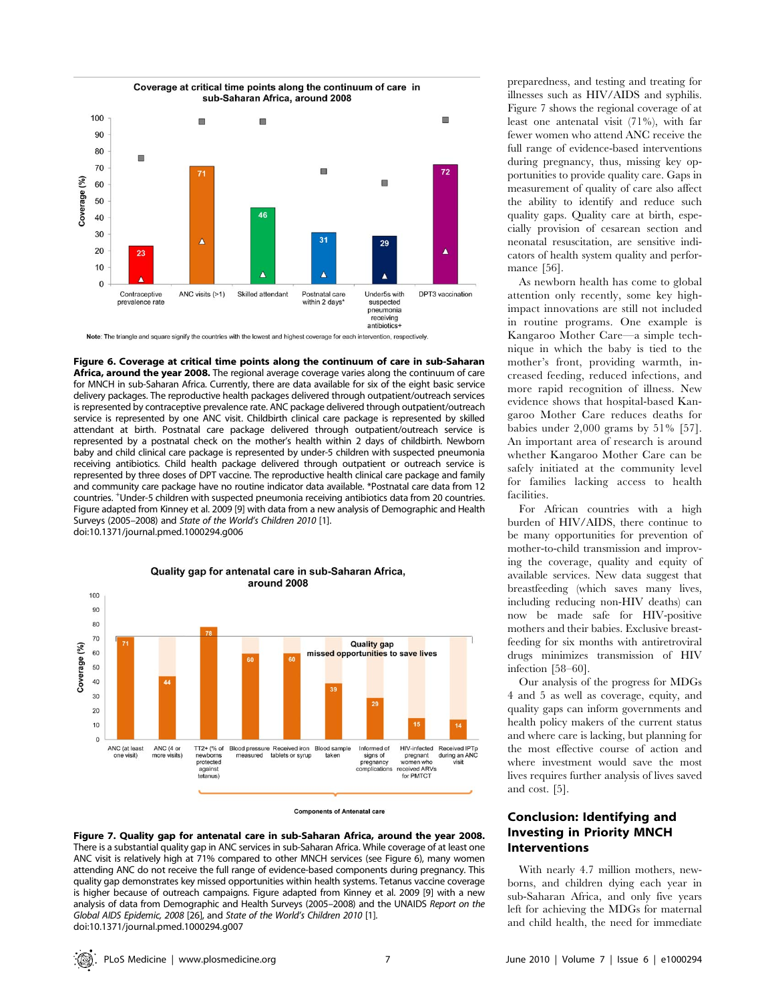



Figure 6. Coverage at critical time points along the continuum of care in sub-Saharan Africa, around the year 2008. The regional average coverage varies along the continuum of care for MNCH in sub-Saharan Africa. Currently, there are data available for six of the eight basic service delivery packages. The reproductive health packages delivered through outpatient/outreach services is represented by contraceptive prevalence rate. ANC package delivered through outpatient/outreach service is represented by one ANC visit. Childbirth clinical care package is represented by skilled attendant at birth. Postnatal care package delivered through outpatient/outreach service is represented by a postnatal check on the mother's health within 2 days of childbirth. Newborn baby and child clinical care package is represented by under-5 children with suspected pneumonia receiving antibiotics. Child health package delivered through outpatient or outreach service is represented by three doses of DPT vaccine. The reproductive health clinical care package and family and community care package have no routine indicator data available. \*Postnatal care data from 12 countries. <sup>+</sup> Under-5 children with suspected pneumonia receiving antibiotics data from 20 countries. Figure adapted from Kinney et al. 2009 [9] with data from a new analysis of Demographic and Health Surveys (2005–2008) and State of the World's Children 2010 [1]. doi:10.1371/journal.pmed.1000294.g006



Quality gap for antenatal care in sub-Saharan Africa, around 2008

Figure 7. Quality gap for antenatal care in sub-Saharan Africa, around the year 2008. There is a substantial quality gap in ANC services in sub-Saharan Africa. While coverage of at least one ANC visit is relatively high at 71% compared to other MNCH services (see Figure 6), many women attending ANC do not receive the full range of evidence-based components during pregnancy. This quality gap demonstrates key missed opportunities within health systems. Tetanus vaccine coverage is higher because of outreach campaigns. Figure adapted from Kinney et al. 2009 [9] with a new analysis of data from Demographic and Health Surveys (2005–2008) and the UNAIDS Report on the Global AIDS Epidemic, 2008 [26], and State of the World's Children 2010 [1]. doi:10.1371/journal.pmed.1000294.g007

preparedness, and testing and treating for illnesses such as HIV/AIDS and syphilis. Figure 7 shows the regional coverage of at least one antenatal visit (71%), with far fewer women who attend ANC receive the full range of evidence-based interventions during pregnancy, thus, missing key opportunities to provide quality care. Gaps in measurement of quality of care also affect the ability to identify and reduce such quality gaps. Quality care at birth, especially provision of cesarean section and neonatal resuscitation, are sensitive indicators of health system quality and performance [56].

As newborn health has come to global attention only recently, some key highimpact innovations are still not included in routine programs. One example is Kangaroo Mother Care—a simple technique in which the baby is tied to the mother's front, providing warmth, increased feeding, reduced infections, and more rapid recognition of illness. New evidence shows that hospital-based Kangaroo Mother Care reduces deaths for babies under 2,000 grams by 51% [57]. An important area of research is around whether Kangaroo Mother Care can be safely initiated at the community level for families lacking access to health facilities.

For African countries with a high burden of HIV/AIDS, there continue to be many opportunities for prevention of mother-to-child transmission and improving the coverage, quality and equity of available services. New data suggest that breastfeeding (which saves many lives, including reducing non-HIV deaths) can now be made safe for HIV-positive mothers and their babies. Exclusive breastfeeding for six months with antiretroviral drugs minimizes transmission of HIV infection [58–60].

Our analysis of the progress for MDGs 4 and 5 as well as coverage, equity, and quality gaps can inform governments and health policy makers of the current status and where care is lacking, but planning for the most effective course of action and where investment would save the most lives requires further analysis of lives saved and cost. [5].

# Conclusion: Identifying and Investing in Priority MNCH Interventions

With nearly 4.7 million mothers, newborns, and children dying each year in sub-Saharan Africa, and only five years left for achieving the MDGs for maternal and child health, the need for immediate

**Components of Antenatal care**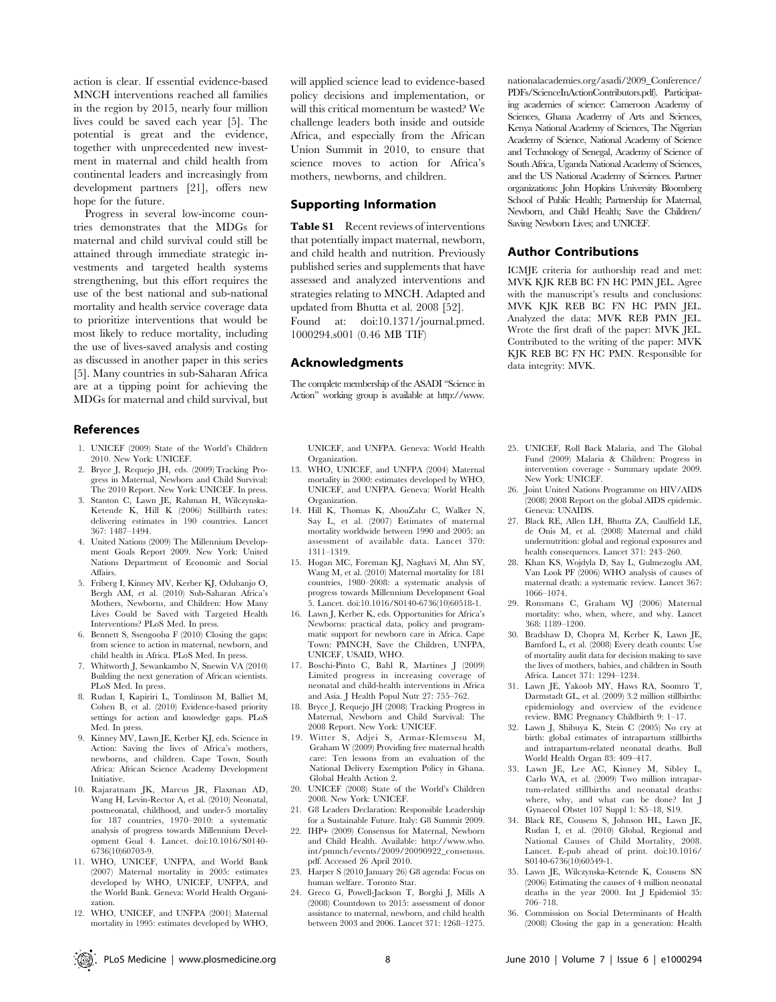action is clear. If essential evidence-based MNCH interventions reached all families in the region by 2015, nearly four million lives could be saved each year [5]. The potential is great and the evidence, together with unprecedented new investment in maternal and child health from continental leaders and increasingly from development partners [21], offers new hope for the future.

Progress in several low-income countries demonstrates that the MDGs for maternal and child survival could still be attained through immediate strategic investments and targeted health systems strengthening, but this effort requires the use of the best national and sub-national mortality and health service coverage data to prioritize interventions that would be most likely to reduce mortality, including the use of lives-saved analysis and costing as discussed in another paper in this series [5]. Many countries in sub-Saharan Africa are at a tipping point for achieving the MDGs for maternal and child survival, but

### References

- 1. UNICEF (2009) State of the World's Children 2010. New York: UNICEF.
- 2. Bryce J, Requejo JH, eds. (2009) Tracking Progress in Maternal, Newborn and Child Survival: The 2010 Report. New York: UNICEF. In press.
- 3. Stanton C, Lawn JE, Rahman H, Wilczynska-Ketende K, Hill K (2006) Stillbirth rates: delivering estimates in 190 countries. Lancet 367: 1487–1494.
- 4. United Nations (2009) The Millennium Development Goals Report 2009. New York: United Nations Department of Economic and Social Affairs.
- 5. Friberg I, Kinney MV, Kerber KJ, Odubanjo O, Bergh AM, et al. (2010) Sub-Saharan Africa's Mothers, Newborns, and Children: How Many Lives Could be Saved with Targeted Health Interventions? PLoS Med. In press.
- 6. Bennett S, Ssengooba F (2010) Closing the gaps: from science to action in maternal, newborn, and child health in Africa. PLoS Med. In press.
- 7. Whitworth J, Sewankambo N, Snewin VA (2010) Building the next generation of African scientists. PLoS Med. In press.
- 8. Rudan I, Kapiriri L, Tomlinson M, Balliet M, Cohen B, et al. (2010) Evidence-based priority settings for action and knowledge gaps. PLoS Med. In press.
- 9. Kinney MV, Lawn JE, Kerber KJ, eds. Science in Action: Saving the lives of Africa's mothers, newborns, and children. Cape Town, South Africa: African Science Academy Development Initiative.
- 10. Rajaratnam JK, Marcus JR, Flaxman AD, Wang H, Levin-Rector A, et al. (2010) Neonatal, postneonatal, childhood, and under-5 mortality for 187 countries, 1970–2010: a systematic analysis of progress towards Millennium Development Goal 4. Lancet. doi:10.1016/S0140- 6736(10)60703-9.
- 11. WHO, UNICEF, UNFPA, and World Bank (2007) Maternal mortality in 2005: estimates developed by WHO, UNICEF, UNFPA, and the World Bank. Geneva: World Health Organization.
- 12. WHO, UNICEF, and UNFPA (2001) Maternal mortality in 1995: estimates developed by WHO,

will applied science lead to evidence-based policy decisions and implementation, or will this critical momentum be wasted? We challenge leaders both inside and outside Africa, and especially from the African Union Summit in 2010, to ensure that science moves to action for Africa's mothers, newborns, and children.

### Supporting Information

Table S1 Recent reviews of interventions that potentially impact maternal, newborn, and child health and nutrition. Previously published series and supplements that have assessed and analyzed interventions and strategies relating to MNCH. Adapted and updated from Bhutta et al. 2008 [52]. Found at: doi:10.1371/journal.pmed. 1000294.s001 (0.46 MB TIF)

### Acknowledgments

The complete membership of the ASADI ''Science in Action'' working group is available at http://www.

UNICEF, and UNFPA. Geneva: World Health Organization.

- 13. WHO, UNICEF, and UNFPA (2004) Maternal mortality in 2000: estimates developed by WHO, UNICEF, and UNFPA. Geneva: World Health Organization.
- 14. Hill K, Thomas K, AbouZahr C, Walker N, Say L, et al. (2007) Estimates of maternal mortality worldwide between 1990 and 2005: an assessment of available data. Lancet 370: 1311–1319.
- 15. Hogan MC, Foreman KJ, Naghavi M, Ahn SY, Wang M, et al. (2010) Maternal mortality for 181 countries, 1980–2008: a systematic analysis of progress towards Millennium Development Goal 5. Lancet. doi:10.1016/S0140-6736(10)60518-1.
- 16. Lawn J, Kerber K, eds. Opportunities for Africa's Newborns: practical data, policy and programmatic support for newborn care in Africa. Cape Town: PMNCH, Save the Children, UNFPA, UNICEF, USAID, WHO.
- 17. Boschi-Pinto C, Bahl R, Martines J (2009) Limited progress in increasing coverage of neonatal and child-health interventions in Africa and Asia. J Health Popul Nutr 27: 755–762.
- 18. Bryce J, Requejo JH (2008) Tracking Progress in Maternal, Newborn and Child Survival: The 2008 Report. New York: UNICEF.
- 19. Witter S, Adjei S, Armar-Klemsesu M, Graham W (2009) Providing free maternal health care: Ten lessons from an evaluation of the National Delivery Exemption Policy in Ghana. Global Health Action 2.
- 20. UNICEF (2008) State of the World's Children 2008. New York: UNICEF.
- 21. G8 Leaders Declaration: Responsible Leadership for a Sustainable Future. Italy: G8 Summit 2009.
- 22. IHP+ (2009) Consensus for Maternal, Newborn and Child Health. Available: http://www.who. int/pmnch/events/2009/20090922\_consensus. pdf. Accessed 26 April 2010.
- 23. Harper S (2010 January 26) G8 agenda: Focus on human welfare. Toronto Star.
- 24. Greco G, Powell-Jackson T, Borghi J, Mills A (2008) Countdown to 2015: assessment of donor assistance to maternal, newborn, and child health between 2003 and 2006. Lancet 371: 1268–1275.

nationalacademies.org/asadi/2009\_Conference/ PDFs/ScienceInActionContributors.pdf). Participating academies of science: Cameroon Academy of Sciences, Ghana Academy of Arts and Sciences, Kenya National Academy of Sciences, The Nigerian Academy of Science, National Academy of Science and Technology of Senegal, Academy of Science of South Africa, Uganda National Academy of Sciences, and the US National Academy of Sciences. Partner organizations: John Hopkins University Bloomberg School of Public Health; Partnership for Maternal, Newborn, and Child Health; Save the Children/ Saving Newborn Lives; and UNICEF.

### Author Contributions

ICMJE criteria for authorship read and met: MVK KJK REB BC FN HC PMN JEL. Agree with the manuscript's results and conclusions: MVK KJK REB BC FN HC PMN JEL. Analyzed the data: MVK REB PMN JEL. Wrote the first draft of the paper: MVK JEL. Contributed to the writing of the paper: MVK KJK REB BC FN HC PMN. Responsible for data integrity: MVK.

- 25. UNICEF, Roll Back Malaria, and The Global Fund (2009) Malaria & Children: Progress in intervention coverage - Summary update 2009. New York: UNICEF.
- 26. Joint United Nations Programme on HIV/AIDS (2008) 2008 Report on the global AIDS epidemic. Geneva: UNAIDS.
- 27. Black RE, Allen LH, Bhutta ZA, Caulfield LE, de Onis M, et al. (2008) Maternal and child undernutrition: global and regional exposures and health consequences. Lancet 371: 243–260.
- 28. Khan KS, Wojdyla D, Say L, Gulmezoglu AM, Van Look PF (2006) WHO analysis of causes of maternal death: a systematic review. Lancet 367: 1066–1074.
- 29. Ronsmans C, Graham WJ (2006) Maternal mortality: who, when, where, and why. Lancet 368: 1189–1200.
- 30. Bradshaw D, Chopra M, Kerber K, Lawn JE, Bamford L, et al. (2008) Every death counts: Use of mortality audit data for decision making to save the lives of mothers, babies, and children in South Africa. Lancet 371: 1294–1234.
- 31. Lawn JE, Yakoob MY, Haws RA, Soomro T, Darmstadt GL, et al. (2009) 3.2 million stillbirths: epidemiology and overview of the evidence review. BMC Pregnancy Childbirth 9: 1–17.
- 32. Lawn J, Shibuya K, Stein C (2005) No cry at birth: global estimates of intrapartum stillbirths and intrapartum-related neonatal deaths. Bull World Health Organ 83: 409–417.
- 33. Lawn JE, Lee AC, Kinney M, Sibley L, Carlo WA, et al. (2009) Two million intrapartum-related stillbirths and neonatal deaths: where, why, and what can be done? Int J Gynaecol Obstet 107 Suppl 1: S5–18, S19.
- 34. Black RE, Cousens S, Johnson HL, Lawn JE, Rudan I, et al. (2010) Global, Regional and National Causes of Child Mortality, 2008. Lancet. E-pub ahead of print. doi:10.1016/ S0140-6736(10)60549-1.
- 35. Lawn JE, Wilczynska-Ketende K, Cousens SN (2006) Estimating the causes of 4 million neonatal deaths in the year 2000. Int J Epidemiol 35: 706–718.
- 36. Commission on Social Determinants of Health (2008) Closing the gap in a generation: Health